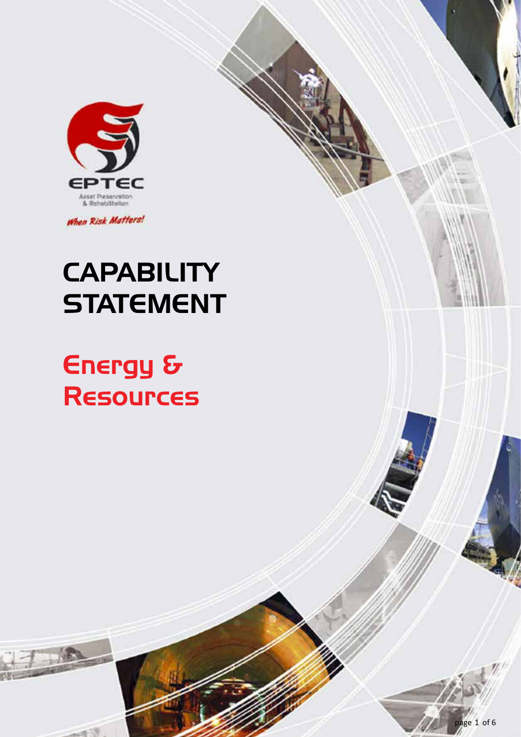

When Risk Matters!

# **CAPABILITY STATEMENT**

# Energy & Resources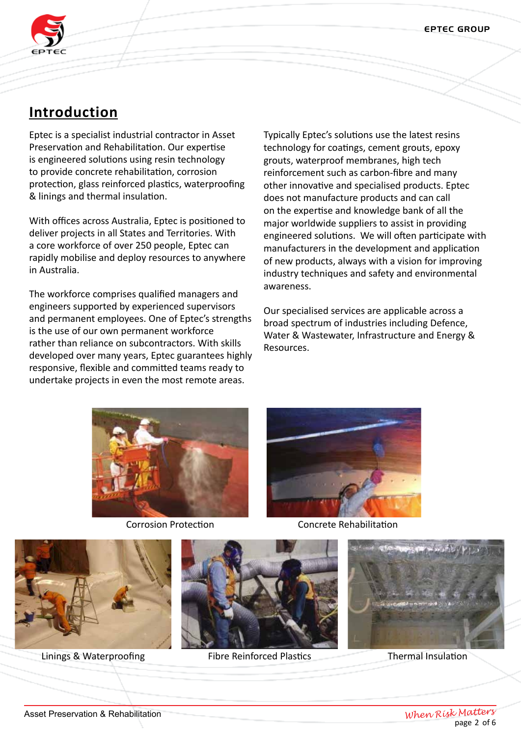

# **Introduction**

Eptec is a specialist industrial contractor in Asset Preservation and Rehabilitation. Our expertise is engineered solutions using resin technology to provide concrete rehabilitation, corrosion protection, glass reinforced plastics, waterproofing & linings and thermal insulation.

With offices across Australia, Eptec is positioned to deliver projects in all States and Territories. With a core workforce of over 250 people, Eptec can rapidly mobilise and deploy resources to anywhere in Australia.

The workforce comprises qualified managers and engineers supported by experienced supervisors and permanent employees. One of Eptec's strengths is the use of our own permanent workforce rather than reliance on subcontractors. With skills developed over many years, Eptec guarantees highly responsive, flexible and committed teams ready to undertake projects in even the most remote areas.

Typically Eptec's solutions use the latest resins technology for coatings, cement grouts, epoxy grouts, waterproof membranes, high tech reinforcement such as carbon-fibre and many other innovative and specialised products. Eptec does not manufacture products and can call on the expertise and knowledge bank of all the major worldwide suppliers to assist in providing engineered solutions. We will often participate with manufacturers in the development and application of new products, always with a vision for improving industry techniques and safety and environmental awareness.

Our specialised services are applicable across a broad spectrum of industries including Defence, Water & Wastewater, Infrastructure and Energy & Resources.





Corrosion Protection Concrete Rehabilitation







Linings & Waterproofing Fibre Reinforced Plastics Thermal Insulation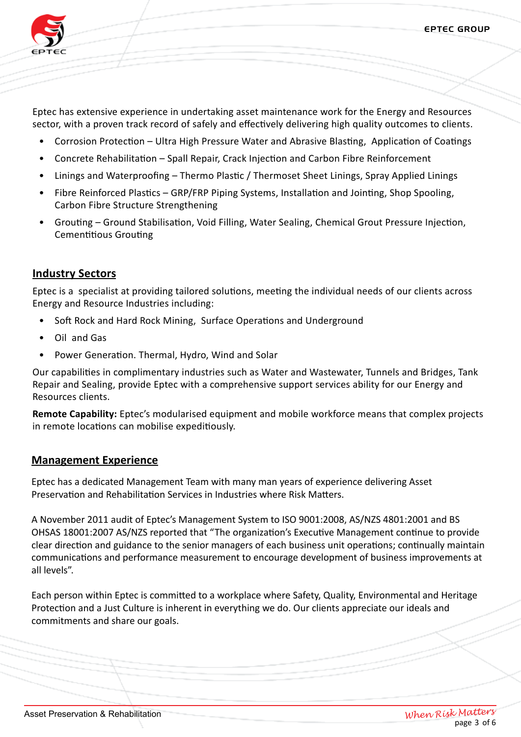

Eptec has extensive experience in undertaking asset maintenance work for the Energy and Resources sector, with a proven track record of safely and effectively delivering high quality outcomes to clients.

- Corrosion Protection Ultra High Pressure Water and Abrasive Blasting, Application of Coatings
- Concrete Rehabilitation Spall Repair, Crack Injection and Carbon Fibre Reinforcement
- Linings and Waterproofing Thermo Plastic / Thermoset Sheet Linings, Spray Applied Linings
- Fibre Reinforced Plastics GRP/FRP Piping Systems, Installation and Jointing, Shop Spooling, Carbon Fibre Structure Strengthening
- Grouting Ground Stabilisation, Void Filling, Water Sealing, Chemical Grout Pressure Injection, Cementitious Grouting

# **Industry Sectors**

Eptec is a specialist at providing tailored solutions, meeting the individual needs of our clients across Energy and Resource Industries including:

- Soft Rock and Hard Rock Mining, Surface Operations and Underground
- Oil and Gas
- Power Generation. Thermal, Hydro, Wind and Solar

Our capabilities in complimentary industries such as Water and Wastewater, Tunnels and Bridges, Tank Repair and Sealing, provide Eptec with a comprehensive support services ability for our Energy and Resources clients.

**Remote Capability:** Eptec's modularised equipment and mobile workforce means that complex projects in remote locations can mobilise expeditiously.

## **Management Experience**

Eptec has a dedicated Management Team with many man years of experience delivering Asset Preservation and Rehabilitation Services in Industries where Risk Matters.

A November 2011 audit of Eptec's Management System to ISO 9001:2008, AS/NZS 4801:2001 and BS OHSAS 18001:2007 AS/NZS reported that "The organization's Executive Management continue to provide clear direction and guidance to the senior managers of each business unit operations; continually maintain communications and performance measurement to encourage development of business improvements at all levels".

Each person within Eptec is committed to a workplace where Safety, Quality, Environmental and Heritage Protection and a Just Culture is inherent in everything we do. Our clients appreciate our ideals and commitments and share our goals.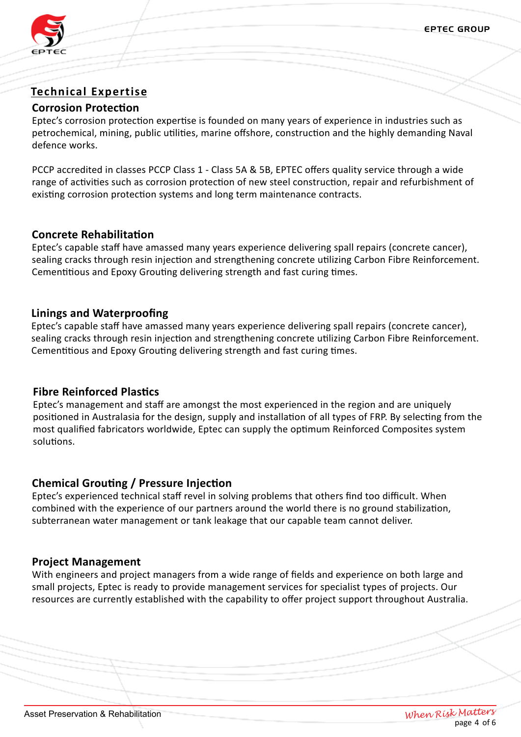

# **Technical Expertise**

## **Corrosion Protection**

Eptec's corrosion protection expertise is founded on many years of experience in industries such as petrochemical, mining, public utilities, marine offshore, construction and the highly demanding Naval defence works.

PCCP accredited in classes PCCP Class 1 - Class 5A & 5B, EPTEC offers quality service through a wide range of activities such as corrosion protection of new steel construction, repair and refurbishment of existing corrosion protection systems and long term maintenance contracts.

# **Concrete Rehabilitation**

Eptec's capable staff have amassed many years experience delivering spall repairs (concrete cancer), sealing cracks through resin injection and strengthening concrete utilizing Carbon Fibre Reinforcement. Cementitious and Epoxy Grouting delivering strength and fast curing times.

# **Linings and Waterproofing**

Eptec's capable staff have amassed many years experience delivering spall repairs (concrete cancer), sealing cracks through resin injection and strengthening concrete utilizing Carbon Fibre Reinforcement. Cementitious and Epoxy Grouting delivering strength and fast curing times.

# **Fibre Reinforced Plastics**

Eptec's management and staff are amongst the most experienced in the region and are uniquely positioned in Australasia for the design, supply and installation of all types of FRP. By selecting from the most qualified fabricators worldwide, Eptec can supply the optimum Reinforced Composites system solutions.

# **Chemical Grouting / Pressure Injection**

Eptec's experienced technical staff revel in solving problems that others find too difficult. When combined with the experience of our partners around the world there is no ground stabilization, subterranean water management or tank leakage that our capable team cannot deliver.

# **Project Management**

With engineers and project managers from a wide range of fields and experience on both large and small projects, Eptec is ready to provide management services for specialist types of projects. Our resources are currently established with the capability to offer project support throughout Australia.

When Risk Matters<br>page 4 of 6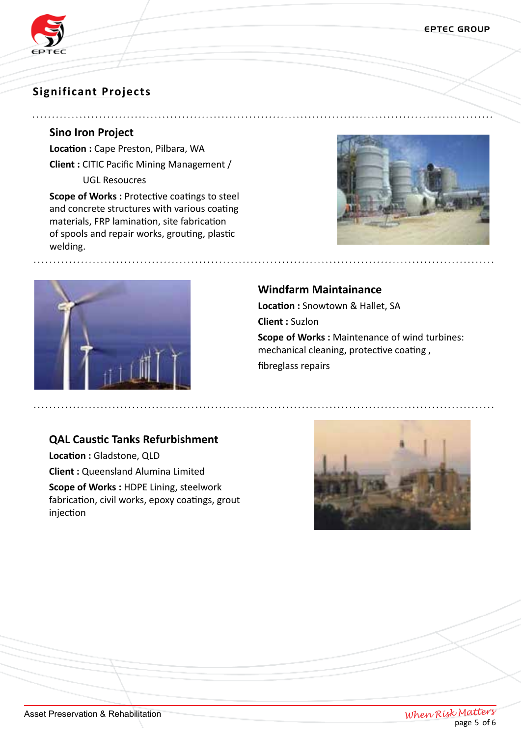

# **Significant Projects**

### **Sino Iron Project**

**Location :** Cape Preston, Pilbara, WA **Client :** CITIC Pacific Mining Management / UGL Resoucres

**Scope of Works :** Protective coatings to steel and concrete structures with various coating materials, FRP lamination, site fabrication of spools and repair works, grouting, plastic welding.





## **Windfarm Maintainance**

**Location :** Snowtown & Hallet, SA

**Client :** Suzlon

**Scope of Works :** Maintenance of wind turbines: mechanical cleaning, protective coating , fibreglass repairs

## **QAL Caustic Tanks Refurbishment**

**Location :** Gladstone, QLD **Client :** Queensland Alumina Limited **Scope of Works :** HDPE Lining, steelwork fabrication, civil works, epoxy coatings, grout iniection



When Risk Matters<br>page 5 of 6